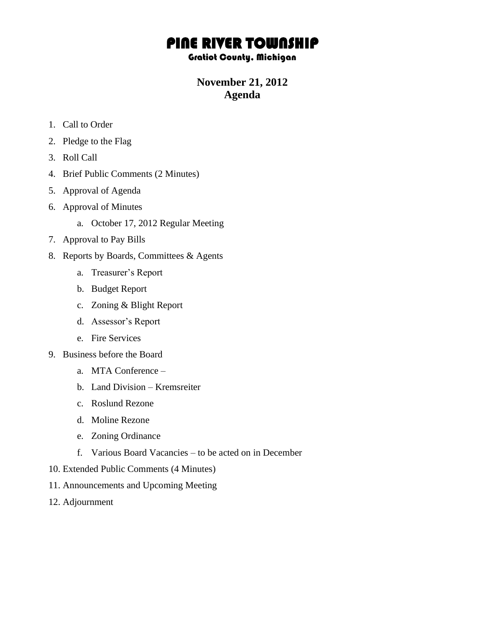## PINE RIVER TOWNSHIP

## Gratiot County, Michigan

## **November 21, 2012 Agenda**

- 1. Call to Order
- 2. Pledge to the Flag
- 3. Roll Call
- 4. Brief Public Comments (2 Minutes)
- 5. Approval of Agenda
- 6. Approval of Minutes
	- a. October 17, 2012 Regular Meeting
- 7. Approval to Pay Bills
- 8. Reports by Boards, Committees & Agents
	- a. Treasurer's Report
	- b. Budget Report
	- c. Zoning & Blight Report
	- d. Assessor's Report
	- e. Fire Services
- 9. Business before the Board
	- a. MTA Conference –
	- b. Land Division Kremsreiter
	- c. Roslund Rezone
	- d. Moline Rezone
	- e. Zoning Ordinance
	- f. Various Board Vacancies to be acted on in December
- 10. Extended Public Comments (4 Minutes)
- 11. Announcements and Upcoming Meeting
- 12. Adjournment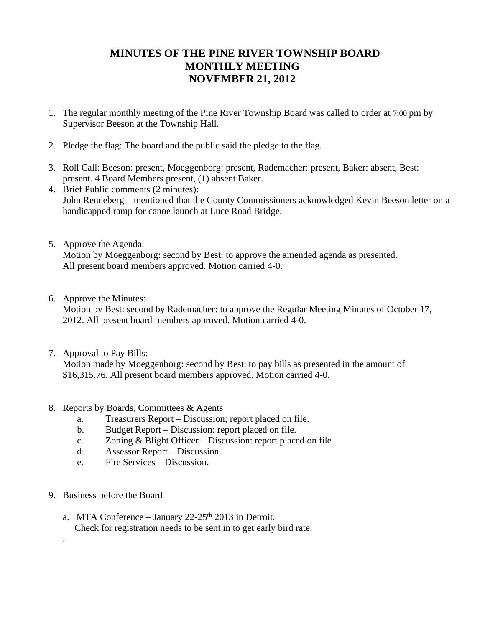## **MINUTES OF THE PINE RIVER TOWNSHIP BOARD MONTHLY MEETING NOVEMBER 21, 2012**

- 1. The regular monthly meeting of the Pine River Township Board was called to order at 7:00 pm by Supervisor Beeson at the Township Hall.
- 2. Pledge the flag: The board and the public said the pledge to the flag.
- 3. Roll Call: Beeson: present, Moeggenborg: present, Rademacher: present, Baker: absent, Best: present. 4 Board Members present, (1) absent Baker.
- 4. Brief Public comments (2 minutes): John Renneberg – mentioned that the County Commissioners acknowledged Kevin Beeson letter on a handicapped ramp for canoe launch at Luce Road Bridge.
- 5. Approve the Agenda: Motion by Moeggenborg: second by Best: to approve the amended agenda as presented. All present board members approved. Motion carried 4-0.
- 6. Approve the Minutes:

Motion by Best: second by Rademacher: to approve the Regular Meeting Minutes of October 17, 2012. All present board members approved. Motion carried 4-0.

7. Approval to Pay Bills:

Motion made by Moeggenborg: second by Best: to pay bills as presented in the amount of \$16,315.76. All present board members approved. Motion carried 4-0.

- 8. Reports by Boards, Committees & Agents
	- a. Treasurers Report Discussion; report placed on file.
	- b. Budget Report Discussion: report placed on file.
	- c. Zoning & Blight Officer Discussion: report placed on file
	- d. Assessor Report Discussion.
	- e. Fire Services Discussion.
- 9. Business before the Board

.

a. MTA Conference – January  $22-25$ <sup>th</sup> 2013 in Detroit. Check for registration needs to be sent in to get early bird rate.